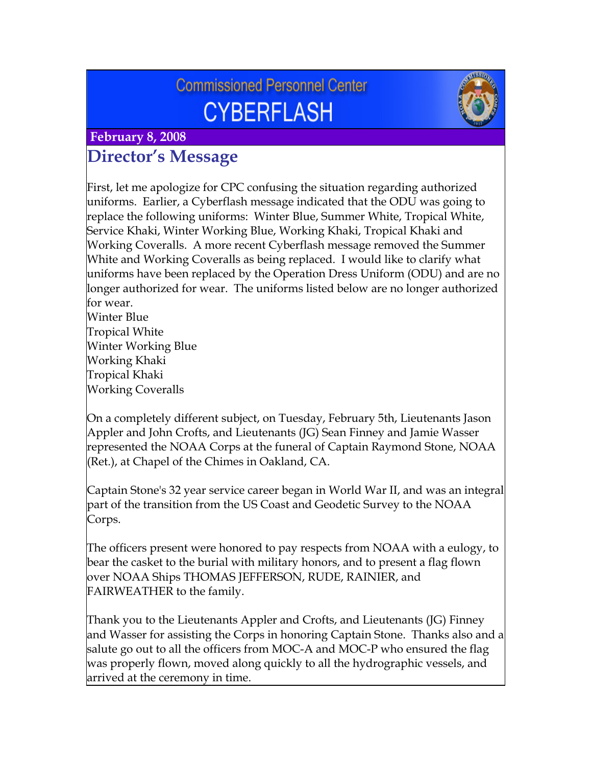# **Commissioned Personnel Center CYBERFLASH**



## **February 8, 2008 Director's Message**

First, let me apologize for CPC confusing the situation regarding authorized uniforms. Earlier, a Cyberflash message indicated that the ODU was going to replace the following uniforms: Winter Blue, Summer White, Tropical White, Service Khaki, Winter Working Blue, Working Khaki, Tropical Khaki and Working Coveralls. A more recent Cyberflash message removed the Summer White and Working Coveralls as being replaced. I would like to clarify what uniforms have been replaced by the Operation Dress Uniform (ODU) and are no longer authorized for wear. The uniforms listed below are no longer authorized for wear.

Winter Blue Tropical White Winter Working Blue Working Khaki Tropical Khaki Working Coveralls

On a completely different subject, on Tuesday, February 5th, Lieutenants Jason Appler and John Crofts, and Lieutenants (JG) Sean Finney and Jamie Wasser represented the NOAA Corps at the funeral of Captain Raymond Stone, NOAA (Ret.), at Chapel of the Chimes in Oakland, CA.

Captain Stone's 32 year service career began in World War II, and was an integral part of the transition from the US Coast and Geodetic Survey to the NOAA Corps.

The officers present were honored to pay respects from NOAA with a eulogy, to bear the casket to the burial with military honors, and to present a flag flown over NOAA Ships THOMAS JEFFERSON, RUDE, RAINIER, and FAIRWEATHER to the family.

Thank you to the Lieutenants Appler and Crofts, and Lieutenants (JG) Finney and Wasser for assisting the Corps in honoring Captain Stone. Thanks also and a salute go out to all the officers from MOC-A and MOC-P who ensured the flag was properly flown, moved along quickly to all the hydrographic vessels, and arrived at the ceremony in time.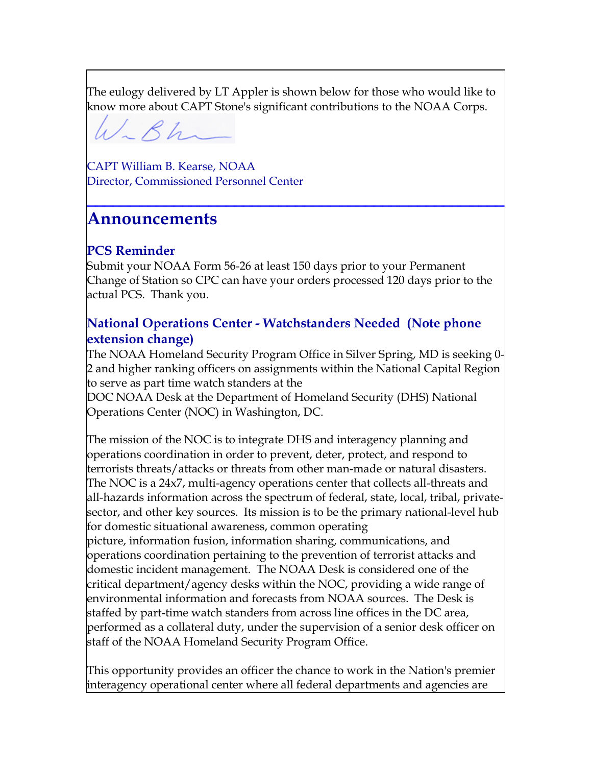The eulogy delivered by LT Appler is shown below for those who would like to know more about CAPT Stone's significant contributions to the NOAA Corps.

 $4/284-$ 

CAPT William B. Kearse, NOAA Director, Commissioned Personnel Center

# **Announcements**

## **PCS Reminder**

Submit your NOAA Form 56-26 at least 150 days prior to your Permanent Change of Station so CPC can have your orders processed 120 days prior to the actual PCS. Thank you.

**\_\_\_\_\_\_\_\_\_\_\_\_\_\_\_\_\_\_\_\_\_\_\_\_\_\_\_\_\_\_\_\_\_\_\_\_\_\_\_\_\_\_\_\_\_\_\_\_**

#### **National Operations Center - Watchstanders Needed (Note phone extension change)**

The NOAA Homeland Security Program Office in Silver Spring, MD is seeking 0- 2 and higher ranking officers on assignments within the National Capital Region to serve as part time watch standers at the

DOC NOAA Desk at the Department of Homeland Security (DHS) National Operations Center (NOC) in Washington, DC.

The mission of the NOC is to integrate DHS and interagency planning and operations coordination in order to prevent, deter, protect, and respond to terrorists threats/attacks or threats from other man-made or natural disasters. The NOC is a 24x7, multi-agency operations center that collects all-threats and all-hazards information across the spectrum of federal, state, local, tribal, privatesector, and other key sources. Its mission is to be the primary national-level hub for domestic situational awareness, common operating

picture, information fusion, information sharing, communications, and operations coordination pertaining to the prevention of terrorist attacks and domestic incident management. The NOAA Desk is considered one of the critical department/agency desks within the NOC, providing a wide range of environmental information and forecasts from NOAA sources. The Desk is staffed by part-time watch standers from across line offices in the DC area, performed as a collateral duty, under the supervision of a senior desk officer on staff of the NOAA Homeland Security Program Office.

This opportunity provides an officer the chance to work in the Nation's premier interagency operational center where all federal departments and agencies are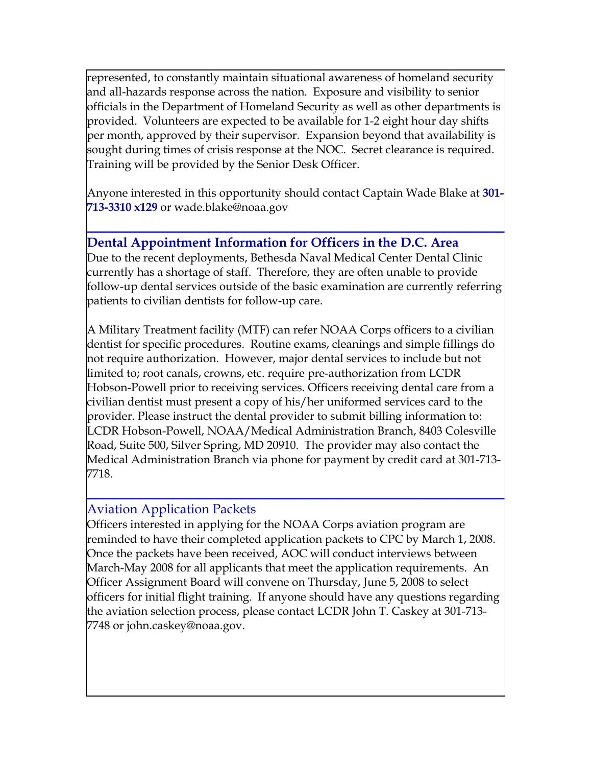represented, to constantly maintain situational awareness of homeland security and all-hazards response across the nation. Exposure and visibility to senior officials in the Department of Homeland Security as well as other departments is provided. Volunteers are expected to be available for 1-2 eight hour day shifts per month, approved by their supervisor. Expansion beyond that availability is sought during times of crisis response at the NOC. Secret clearance is required. Training will be provided by the Senior Desk Officer.

Anyone interested in this opportunity should contact Captain Wade Blake at **301- 713-3310 x129** or [wade.blake@noaa.gov](mailto:wade.blake@noaa.gov)

**\_\_\_\_\_\_\_\_\_\_\_\_\_\_\_\_\_\_\_\_\_\_\_\_\_\_\_\_\_\_\_\_\_\_\_\_\_\_\_\_\_\_\_\_\_\_\_\_**

#### **Dental Appointment Information for Officers in the D.C. Area**

Due to the recent deployments, Bethesda Naval Medical Center Dental Clinic currently has a shortage of staff. Therefore, they are often unable to provide follow-up dental services outside of the basic examination are currently referring patients to civilian dentists for follow-up care.

A Military Treatment facility (MTF) can refer NOAA Corps officers to a civilian dentist for specific procedures. Routine exams, cleanings and simple fillings do not require authorization. However, major dental services to include but not limited to; root canals, crowns, etc. require pre-authorization from LCDR Hobson-Powell prior to receiving services. Officers receiving dental care from a civilian dentist must present a copy of his/her uniformed services card to the provider. Please instruct the dental provider to submit billing information to: LCDR Hobson-Powell, NOAA/Medical Administration Branch, 8403 Colesville Road, Suite 500, Silver Spring, MD 20910. The provider may also contact the Medical Administration Branch via phone for payment by credit card at 301-713- 7718.

#### Aviation Application Packets

Officers interested in applying for the NOAA Corps aviation program are reminded to have their completed application packets to CPC by March 1, 2008. Once the packets have been received, AOC will conduct interviews between March-May 2008 for all applicants that meet the application requirements. An Officer Assignment Board will convene on Thursday, June 5, 2008 to select officers for initial flight training. If anyone should have any questions regarding the aviation selection process, please contact LCDR John T. Caskey at 301-713- 7748 or [john.caskey@noaa.gov.](mailto:john.caskey@noaa.gov)

**\_\_\_\_\_\_\_\_\_\_\_\_\_\_\_\_\_\_\_\_\_\_\_\_\_\_\_\_\_\_\_\_\_\_\_\_\_\_\_\_\_\_\_\_\_\_\_\_**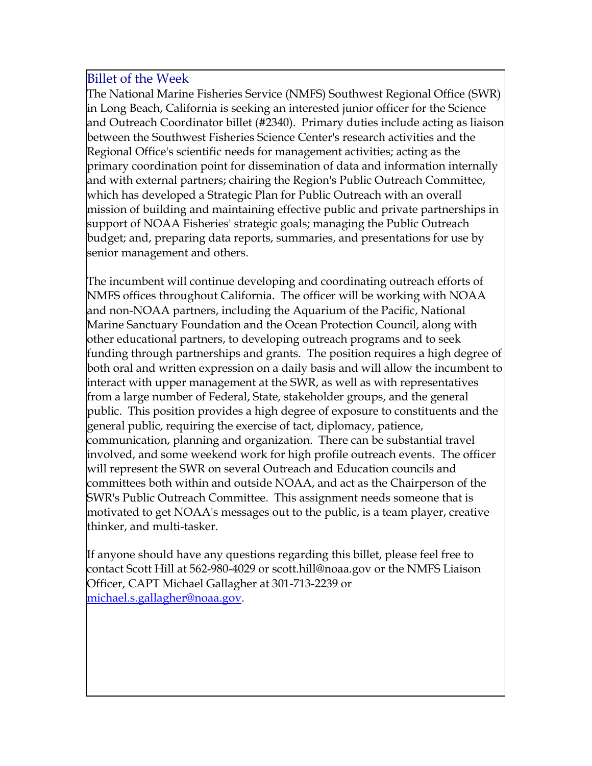#### Billet of the Week

The National Marine Fisheries Service (NMFS) Southwest Regional Office (SWR) in Long Beach, California is seeking an interested junior officer for the Science and Outreach Coordinator billet (#2340). Primary duties include acting as liaison between the Southwest Fisheries Science Center's research activities and the Regional Office's scientific needs for management activities; acting as the primary coordination point for dissemination of data and information internally and with external partners; chairing the Region's Public Outreach Committee, which has developed a Strategic Plan for Public Outreach with an overall mission of building and maintaining effective public and private partnerships in support of NOAA Fisheries' strategic goals; managing the Public Outreach budget; and, preparing data reports, summaries, and presentations for use by senior management and others.

The incumbent will continue developing and coordinating outreach efforts of NMFS offices throughout California. The officer will be working with NOAA and non-NOAA partners, including the Aquarium of the Pacific, National Marine Sanctuary Foundation and the Ocean Protection Council, along with other educational partners, to developing outreach programs and to seek funding through partnerships and grants. The position requires a high degree of both oral and written expression on a daily basis and will allow the incumbent to interact with upper management at the SWR, as well as with representatives from a large number of Federal, State, stakeholder groups, and the general public. This position provides a high degree of exposure to constituents and the general public, requiring the exercise of tact, diplomacy, patience, communication, planning and organization. There can be substantial travel involved, and some weekend work for high profile outreach events. The officer will represent the SWR on several Outreach and Education councils and committees both within and outside NOAA, and act as the Chairperson of the SWR's Public Outreach Committee. This assignment needs someone that is motivated to get NOAA's messages out to the public, is a team player, creative thinker, and multi-tasker.

If anyone should have any questions regarding this billet, please feel free to contact Scott Hill at 562-980-4029 or [scott.hill@noaa.gov](mailto:scott.hill@noaa.gov) or the NMFS Liaison Officer, CAPT Michael Gallagher at 301-713-2239 or [michael.s.gallagher@noaa.gov.](mailto:michael.s.gallagher@noaa.gov)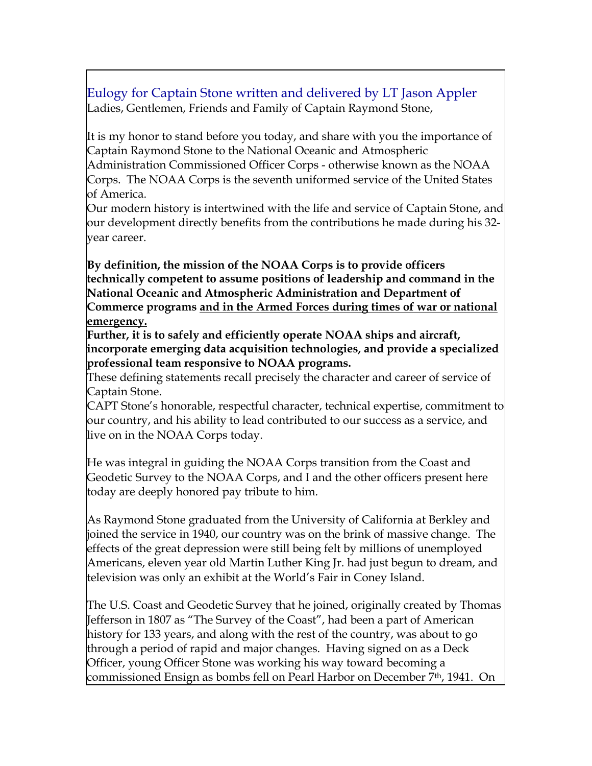### Eulogy for Captain Stone written and delivered by LT Jason Appler Ladies, Gentlemen, Friends and Family of Captain Raymond Stone,

It is my honor to stand before you today, and share with you the importance of Captain Raymond Stone to the National Oceanic and Atmospheric

Administration Commissioned Officer Corps - otherwise known as the NOAA Corps. The NOAA Corps is the seventh uniformed service of the United States of America.

Our modern history is intertwined with the life and service of Captain Stone, and our development directly benefits from the contributions he made during his 32 year career.

**By definition, the mission of the NOAA Corps is to provide officers technically competent to assume positions of leadership and command in the National Oceanic and Atmospheric Administration and Department of Commerce programs and in the Armed Forces during times of war or national emergency.**

**Further, it is to safely and efficiently operate NOAA ships and aircraft, incorporate emerging data acquisition technologies, and provide a specialized professional team responsive to NOAA programs.**

These defining statements recall precisely the character and career of service of Captain Stone.

CAPT Stone's honorable, respectful character, technical expertise, commitment to our country, and his ability to lead contributed to our success as a service, and live on in the NOAA Corps today.

He was integral in guiding the NOAA Corps transition from the Coast and Geodetic Survey to the NOAA Corps, and I and the other officers present here today are deeply honored pay tribute to him.

As Raymond Stone graduated from the University of California at Berkley and joined the service in 1940, our country was on the brink of massive change. The effects of the great depression were still being felt by millions of unemployed Americans, eleven year old Martin Luther King Jr. had just begun to dream, and television was only an exhibit at the World's Fair in Coney Island.

The U.S. Coast and Geodetic Survey that he joined, originally created by Thomas Jefferson in 1807 as "The Survey of the Coast", had been a part of American history for 133 years, and along with the rest of the country, was about to go through a period of rapid and major changes. Having signed on as a Deck Officer, young Officer Stone was working his way toward becoming a commissioned Ensign as bombs fell on Pearl Harbor on December 7th, 1941. On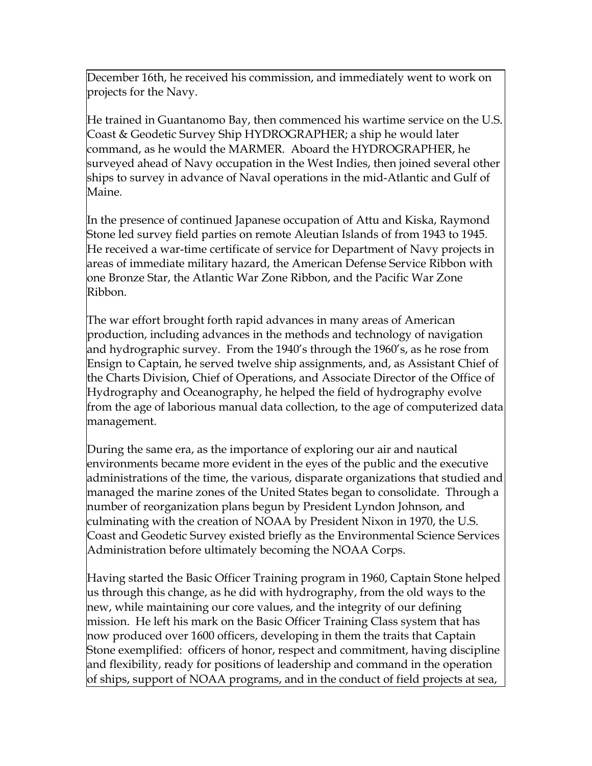December 16th, he received his commission, and immediately went to work on projects for the Navy.

He trained in Guantanomo Bay, then commenced his wartime service on the U.S. Coast & Geodetic Survey Ship HYDROGRAPHER; a ship he would later command, as he would the MARMER. Aboard the HYDROGRAPHER, he surveyed ahead of Navy occupation in the West Indies, then joined several other ships to survey in advance of Naval operations in the mid-Atlantic and Gulf of Maine.

In the presence of continued Japanese occupation of Attu and Kiska, Raymond Stone led survey field parties on remote Aleutian Islands of from 1943 to 1945. He received a war-time certificate of service for Department of Navy projects in areas of immediate military hazard, the American Defense Service Ribbon with one Bronze Star, the Atlantic War Zone Ribbon, and the Pacific War Zone Ribbon.

The war effort brought forth rapid advances in many areas of American production, including advances in the methods and technology of navigation and hydrographic survey. From the 1940's through the 1960's, as he rose from Ensign to Captain, he served twelve ship assignments, and, as Assistant Chief of the Charts Division, Chief of Operations, and Associate Director of the Office of Hydrography and Oceanography, he helped the field of hydrography evolve from the age of laborious manual data collection, to the age of computerized data management.

During the same era, as the importance of exploring our air and nautical environments became more evident in the eyes of the public and the executive administrations of the time, the various, disparate organizations that studied and managed the marine zones of the United States began to consolidate. Through a number of reorganization plans begun by President Lyndon Johnson, and culminating with the creation of NOAA by President Nixon in 1970, the U.S. Coast and Geodetic Survey existed briefly as the Environmental Science Services Administration before ultimately becoming the NOAA Corps.

Having started the Basic Officer Training program in 1960, Captain Stone helped us through this change, as he did with hydrography, from the old ways to the new, while maintaining our core values, and the integrity of our defining mission. He left his mark on the Basic Officer Training Class system that has now produced over 1600 officers, developing in them the traits that Captain Stone exemplified: officers of honor, respect and commitment, having discipline and flexibility, ready for positions of leadership and command in the operation of ships, support of NOAA programs, and in the conduct of field projects at sea,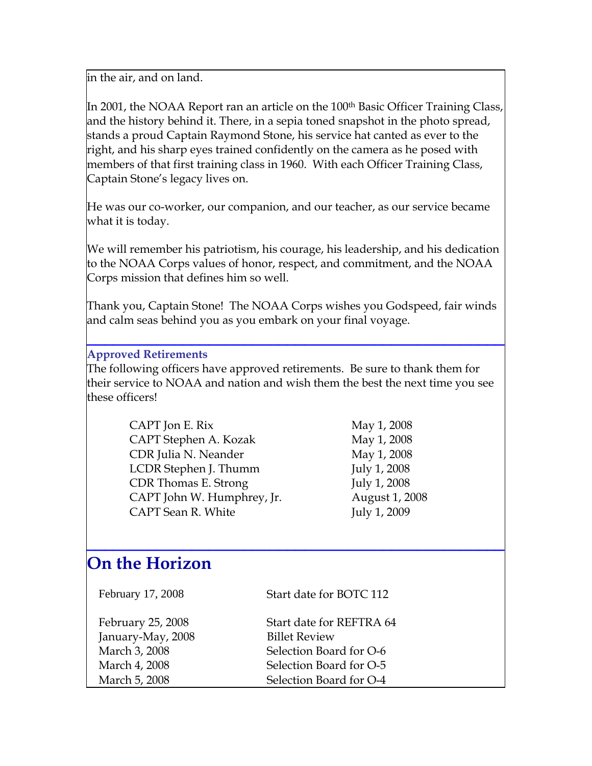in the air, and on land.

In 2001, the NOAA Report ran an article on the 100<sup>th</sup> Basic Officer Training Class, and the history behind it. There, in a sepia toned snapshot in the photo spread, stands a proud Captain Raymond Stone, his service hat canted as ever to the right, and his sharp eyes trained confidently on the camera as he posed with members of that first training class in 1960. With each Officer Training Class, Captain Stone's legacy lives on.

He was our co-worker, our companion, and our teacher, as our service became what it is today.

We will remember his patriotism, his courage, his leadership, and his dedication to the NOAA Corps values of honor, respect, and commitment, and the NOAA Corps mission that defines him so well.

Thank you, Captain Stone! The NOAA Corps wishes you Godspeed, fair winds and calm seas behind you as you embark on your final voyage.

**\_\_\_\_\_\_\_\_\_\_\_\_\_\_\_\_\_\_\_\_\_\_\_\_\_\_\_\_\_\_\_\_\_\_\_\_\_\_\_\_\_\_\_\_\_\_\_\_**

#### **Approved Retirements**

The following officers have approved retirements. Be sure to thank them for their service to NOAA and nation and wish them the best the next time you see these officers!

| CAPT Jon E. Rix            | May 1, 2008    |
|----------------------------|----------------|
| CAPT Stephen A. Kozak      | May 1, 2008    |
| CDR Julia N. Neander       | May 1, 2008    |
| LCDR Stephen J. Thumm      | July 1, 2008   |
| CDR Thomas E. Strong       | July 1, 2008   |
| CAPT John W. Humphrey, Jr. | August 1, 2008 |
| CAPT Sean R. White         | July 1, 2009   |

**\_\_\_\_\_\_\_\_\_\_\_\_\_\_\_\_\_\_\_\_\_\_\_\_\_\_\_\_\_\_\_\_\_\_\_\_\_\_\_\_\_\_\_\_\_\_\_\_**

# **On the Horizon**

| February 17, 2008 | Start date for BOTC 112  |
|-------------------|--------------------------|
| February 25, 2008 | Start date for REFTRA 64 |
| January-May, 2008 | <b>Billet Review</b>     |
| March 3, 2008     | Selection Board for O-6  |
| March 4, 2008     | Selection Board for O-5  |
| March 5, 2008     | Selection Board for O-4  |